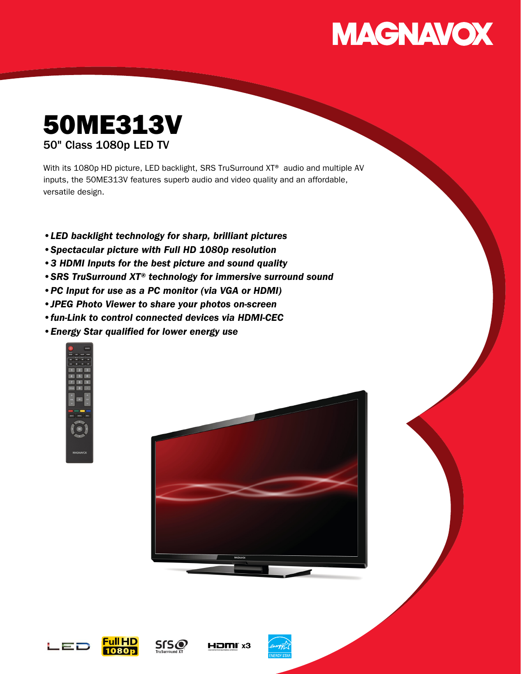# **MAGNAVOX**

## 50ME313V 50" Class 1080p LED TV

With its 1080p HD picture, LED backlight, SRS TruSurround XT<sup>®</sup> audio and multiple AV inputs, the 50ME313V features superb audio and video quality and an affordable, versatile design.

- •LED backlight technology for sharp, brilliant pictures
- •Spectacular picture with Full HD 1080p resolution
- •3 HDMI Inputs for the best picture and sound quality
- •SRS TruSurround XT® technology for immersive surround sound
- •PC Input for use as a PC monitor (via VGA or HDMI)
- •JPEG Photo Viewer to share your photos on-screen
- •fun-Link to control connected devices via HDMI-CEC
- •Energy Star qualified for lower energy use